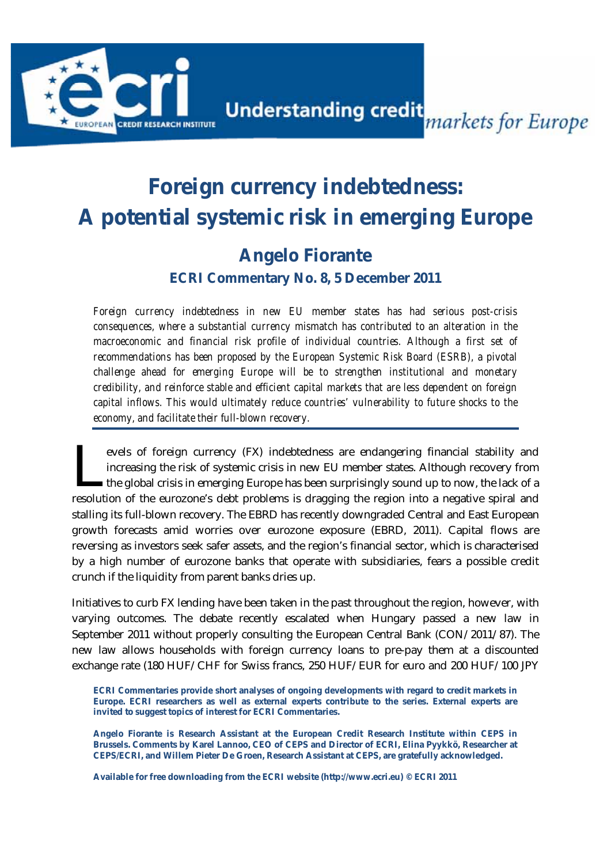

**Understanding credit**<br>
markets for Europe

# **Foreign currency indebtedness: A potential systemic risk in emerging Europe**

### **Angelo Fiorante ECRI Commentary No. 8, 5 December 2011**

*Foreign currency indebtedness in new EU member states has had serious post-crisis consequences, where a substantial currency mismatch has contributed to an alteration in the macroeconomic and financial risk profile of individual countries. Although a first set of recommendations has been proposed by the European Systemic Risk Board (ESRB), a pivotal challenge ahead for emerging Europe will be to strengthen institutional and monetary credibility, and reinforce stable and efficient capital markets that are less dependent on foreign capital inflows. This would ultimately reduce countries' vulnerability to future shocks to the economy, and facilitate their full-blown recovery.*

evels of foreign currency (FX) indebtedness are endangering financial stability and increasing the risk of systemic crisis in new EU member states. Although recovery from the global crisis in emerging Europe has been surprisingly sound up to now, the lack of a revels of foreign currency (FX) indebtedness are endangering financial stability and increasing the risk of systemic crisis in new EU member states. Although recovery from the global crisis in emerging Europe has been surp stalling its full-blown recovery. The EBRD has recently downgraded Central and East European growth forecasts amid worries over eurozone exposure (EBRD, 2011). Capital flows are reversing as investors seek safer assets, and the region's financial sector, which is characterised by a high number of eurozone banks that operate with subsidiaries, fears a possible credit crunch if the liquidity from parent banks dries up.

Initiatives to curb FX lending have been taken in the past throughout the region, however, with varying outcomes. The debate recently escalated when Hungary passed a new law in September 2011 without properly consulting the European Central Bank (CON/2011/87). The new law allows households with foreign currency loans to pre-pay them at a discounted exchange rate (180 HUF/CHF for Swiss francs, 250 HUF/EUR for euro and 200 HUF/100 JPY

**ECRI Commentaries provide short analyses of ongoing developments with regard to credit markets in Europe. ECRI researchers as well as external experts contribute to the series. External experts are invited to suggest topics of interest for ECRI Commentaries.** 

**Angelo Fiorante is Research Assistant at the European Credit Research Institute within CEPS in Brussels. Comments by Karel Lannoo, CEO of CEPS and Director of ECRI, Elina Pyykkö, Researcher at CEPS/ECRI, and Willem Pieter De Groen, Research Assistant at CEPS, are gratefully acknowledged.** 

**Available for free downloading from the ECRI website (http://www.ecri.eu) © ECRI 2011**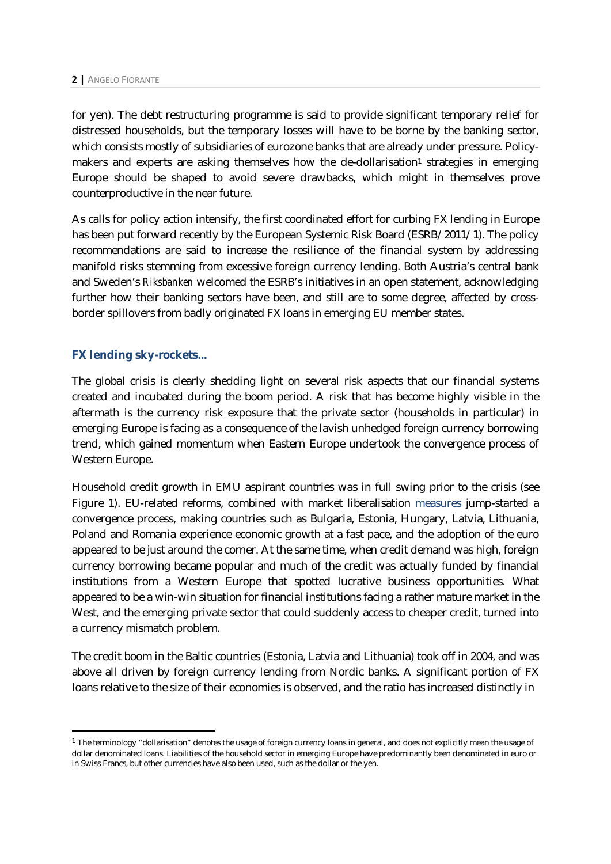for yen). The debt restructuring programme is said to provide significant temporary relief for distressed households, but the temporary losses will have to be borne by the banking sector, which consists mostly of subsidiaries of eurozone banks that are already under pressure. Policymakers and experts are asking themselves how the de-dollarisation<sup>1</sup> strategies in emerging Europe should be shaped to avoid severe drawbacks, which might in themselves prove counterproductive in the near future.

As calls for policy action intensify, the first coordinated effort for curbing FX lending in Europe has been put forward recently by the European Systemic Risk Board (ESRB/2011/1). The policy recommendations are said to increase the resilience of the financial system by addressing manifold risks stemming from excessive foreign currency lending. Both Austria's central bank and Sweden's *Riksbanken* welcomed the ESRB's initiatives in an open statement, acknowledging further how their banking sectors have been, and still are to some degree, affected by crossborder spillovers from badly originated FX loans in emerging EU member states.

#### **FX lending sky-rockets...**

The global crisis is clearly shedding light on several risk aspects that our financial systems created and incubated during the boom period. A risk that has become highly visible in the aftermath is the currency risk exposure that the private sector (households in particular) in emerging Europe is facing as a consequence of the lavish unhedged foreign currency borrowing trend, which gained momentum when Eastern Europe undertook the convergence process of Western Europe.

Household credit growth in EMU aspirant countries was in full swing prior to the crisis (see Figure 1). EU-related reforms, combined with market liberalisation measures jump-started a convergence process, making countries such as Bulgaria, Estonia, Hungary, Latvia, Lithuania, Poland and Romania experience economic growth at a fast pace, and the adoption of the euro appeared to be just around the corner. At the same time, when credit demand was high, foreign currency borrowing became popular and much of the credit was actually funded by financial institutions from a Western Europe that spotted lucrative business opportunities. What appeared to be a win-win situation for financial institutions facing a rather mature market in the West, and the emerging private sector that could suddenly access to cheaper credit, turned into a currency mismatch problem.

The credit boom in the Baltic countries (Estonia, Latvia and Lithuania) took off in 2004, and was above all driven by foreign currency lending from Nordic banks. A significant portion of FX loans relative to the size of their economies is observed, and the ratio has increased distinctly in

 $1$  The terminology "dollarisation" denotes the usage of foreign currency loans in general, and does not explicitly mean the usage of dollar denominated loans. Liabilities of the household sector in emerging Europe have predominantly been denominated in euro or in Swiss Francs, but other currencies have also been used, such as the dollar or the yen.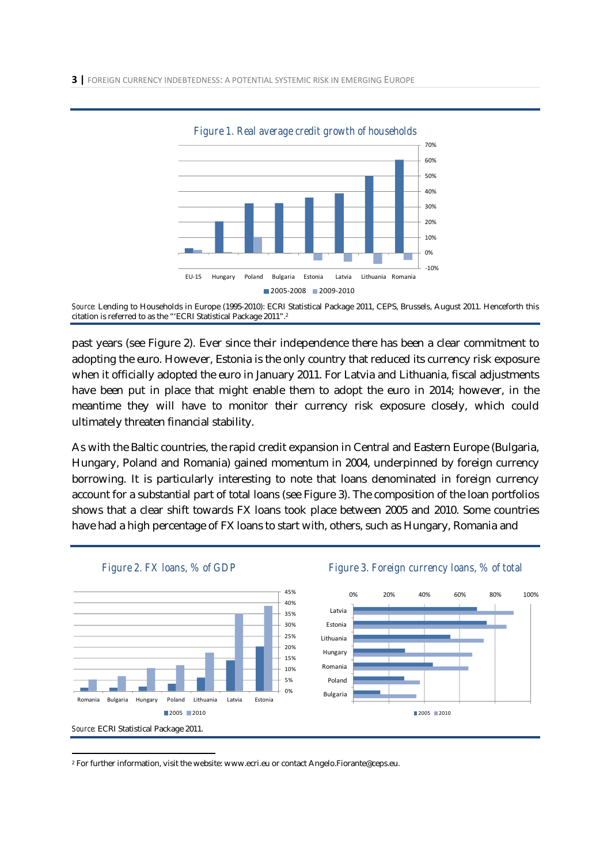

*Figure 1. Real average credit growth of households* 

past years (see Figure 2). Ever since their independence there has been a clear commitment to adopting the euro. However, Estonia is the only country that reduced its currency risk exposure when it officially adopted the euro in January 2011. For Latvia and Lithuania, fiscal adjustments have been put in place that might enable them to adopt the euro in 2014; however, in the meantime they will have to monitor their currency risk exposure closely, which could ultimately threaten financial stability.

As with the Baltic countries, the rapid credit expansion in Central and Eastern Europe (Bulgaria, Hungary, Poland and Romania) gained momentum in 2004, underpinned by foreign currency borrowing. It is particularly interesting to note that loans denominated in foreign currency account for a substantial part of total loans (see Figure 3). The composition of the loan portfolios shows that a clear shift towards FX loans took place between 2005 and 2010. Some countries have had a high percentage of FX loans to start with, others, such as Hungary, Romania and



*Figure 2. FX loans, % of GDP* Figure 3. Foreign currency loans, % of total



2 For further information, visit the website: www.ecri.eu or contact Angelo.Fiorante@ceps.eu.

*Source:* Lending to Households in Europe (1995-2010): ECRI Statistical Package 2011, CEPS, Brussels, August 2011. Henceforth this citation is referred to as the "'ECRI Statistical Package 2011".2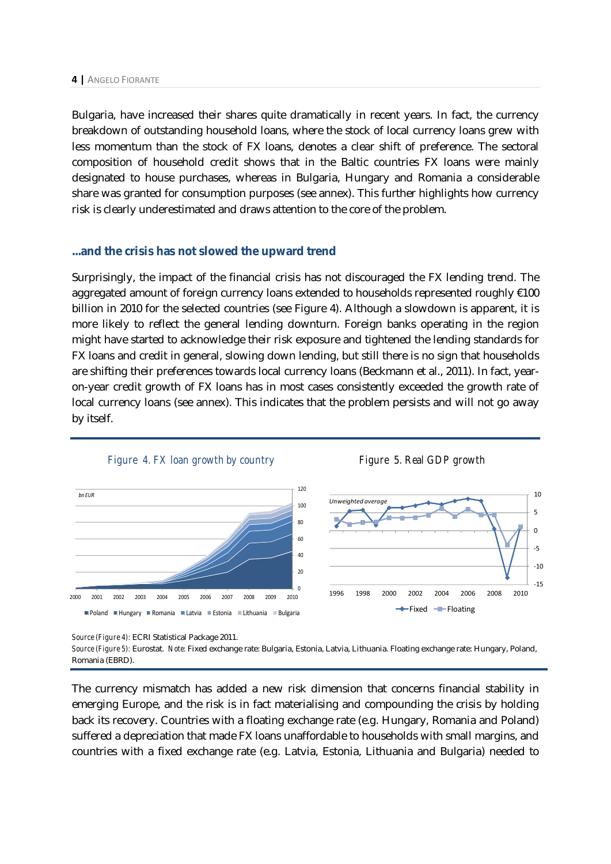Bulgaria, have increased their shares quite dramatically in recent years. In fact, the currency breakdown of outstanding household loans, where the stock of local currency loans grew with less momentum than the stock of FX loans, denotes a clear shift of preference. The sectoral composition of household credit shows that in the Baltic countries FX loans were mainly designated to house purchases, whereas in Bulgaria, Hungary and Romania a considerable share was granted for consumption purposes (see annex). This further highlights how currency risk is clearly underestimated and draws attention to the core of the problem.

#### **...and the crisis has not slowed the upward trend**

Surprisingly, the impact of the financial crisis has not discouraged the FX lending trend. The aggregated amount of foreign currency loans extended to households represented roughly  $\epsilon$ 100 billion in 2010 for the selected countries (see Figure 4). Although a slowdown is apparent, it is more likely to reflect the general lending downturn. Foreign banks operating in the region might have started to acknowledge their risk exposure and tightened the lending standards for FX loans and credit in general, slowing down lending, but still there is no sign that households are shifting their preferences towards local currency loans (Beckmann et al., 2011). In fact, yearon-year credit growth of FX loans has in most cases consistently exceeded the growth rate of local currency loans (see annex). This indicates that the problem persists and will not go away by itself.



*Source (Figure 4):* ECRI Statistical Package 2011.

*Source (Figure 5):* Eurostat. *Note:* Fixed exchange rate: Bulgaria, Estonia, Latvia, Lithuania. Floating exchange rate: Hungary, Poland, Romania (EBRD).

The currency mismatch has added a new risk dimension that concerns financial stability in emerging Europe, and the risk is in fact materialising and compounding the crisis by holding back its recovery. Countries with a floating exchange rate (e.g. Hungary, Romania and Poland) suffered a depreciation that made FX loans unaffordable to households with small margins, and countries with a fixed exchange rate (e.g. Latvia, Estonia, Lithuania and Bulgaria) needed to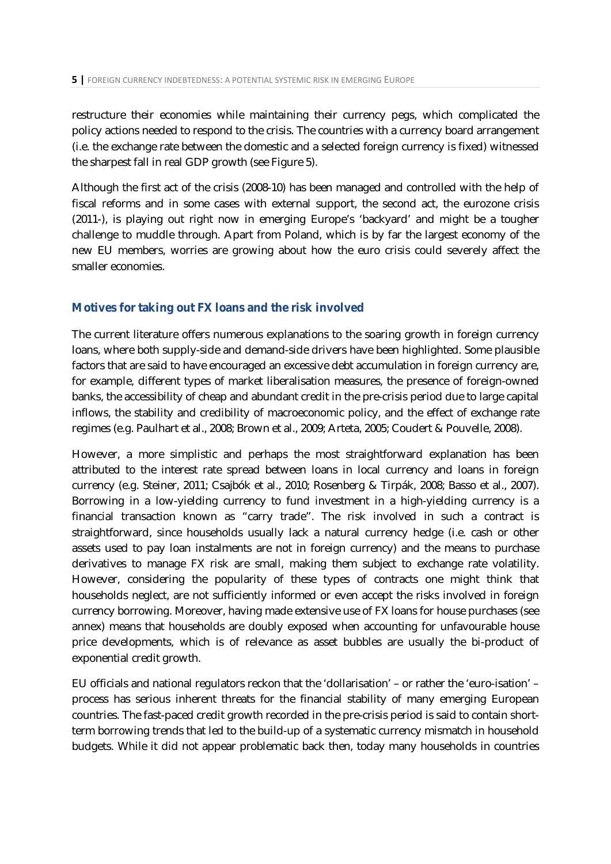restructure their economies while maintaining their currency pegs, which complicated the policy actions needed to respond to the crisis. The countries with a currency board arrangement (i.e. the exchange rate between the domestic and a selected foreign currency is fixed) witnessed the sharpest fall in real GDP growth (see Figure 5).

Although the first act of the crisis (2008-10) has been managed and controlled with the help of fiscal reforms and in some cases with external support, the second act, the eurozone crisis (2011-), is playing out right now in emerging Europe's 'backyard' and might be a tougher challenge to muddle through. Apart from Poland, which is by far the largest economy of the new EU members, worries are growing about how the euro crisis could severely affect the smaller economies.

#### **Motives for taking out FX loans and the risk involved**

The current literature offers numerous explanations to the soaring growth in foreign currency loans, where both supply-side and demand-side drivers have been highlighted. Some plausible factors that are said to have encouraged an excessive debt accumulation in foreign currency are, for example, different types of market liberalisation measures, the presence of foreign-owned banks, the accessibility of cheap and abundant credit in the pre-crisis period due to large capital inflows, the stability and credibility of macroeconomic policy, and the effect of exchange rate regimes (e.g. Paulhart et al., 2008; Brown et al., 2009; Arteta, 2005; Coudert & Pouvelle, 2008).

However, a more simplistic and perhaps the most straightforward explanation has been attributed to the interest rate spread between loans in local currency and loans in foreign currency (e.g. Steiner, 2011; Csajbók et al., 2010; Rosenberg & Tirpák, 2008; Basso et al., 2007). Borrowing in a low-yielding currency to fund investment in a high-yielding currency is a financial transaction known as "carry trade". The risk involved in such a contract is straightforward, since households usually lack a natural currency hedge (i.e. cash or other assets used to pay loan instalments are not in foreign currency) and the means to purchase derivatives to manage FX risk are small, making them subject to exchange rate volatility. However, considering the popularity of these types of contracts one might think that households neglect, are not sufficiently informed or even accept the risks involved in foreign currency borrowing. Moreover, having made extensive use of FX loans for house purchases (see annex) means that households are doubly exposed when accounting for unfavourable house price developments, which is of relevance as asset bubbles are usually the bi-product of exponential credit growth.

EU officials and national regulators reckon that the 'dollarisation' – or rather the 'euro-isation' – process has serious inherent threats for the financial stability of many emerging European countries. The fast-paced credit growth recorded in the pre-crisis period is said to contain shortterm borrowing trends that led to the build-up of a systematic currency mismatch in household budgets. While it did not appear problematic back then, today many households in countries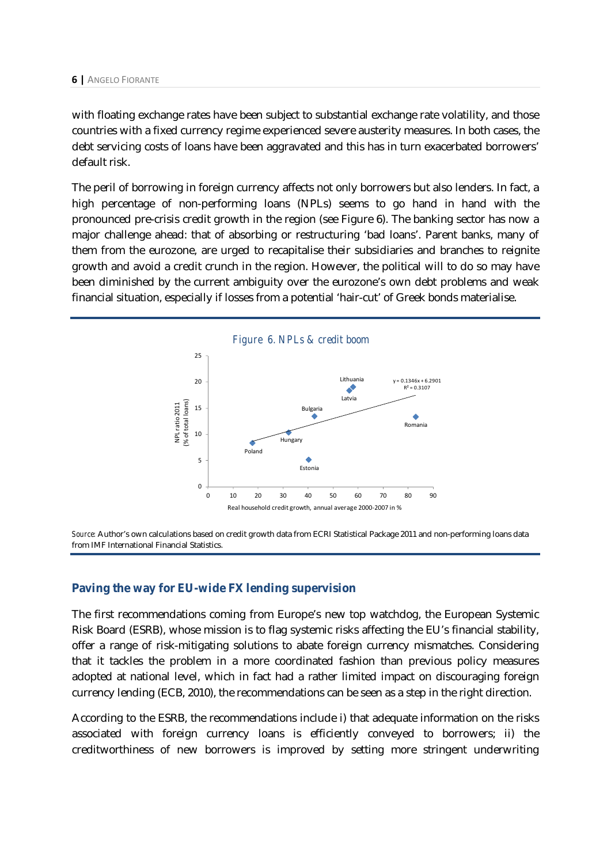with floating exchange rates have been subject to substantial exchange rate volatility, and those countries with a fixed currency regime experienced severe austerity measures. In both cases, the debt servicing costs of loans have been aggravated and this has in turn exacerbated borrowers' default risk.

The peril of borrowing in foreign currency affects not only borrowers but also lenders. In fact, a high percentage of non-performing loans (NPLs) seems to go hand in hand with the pronounced pre-crisis credit growth in the region (see Figure 6). The banking sector has now a major challenge ahead: that of absorbing or restructuring 'bad loans'. Parent banks, many of them from the eurozone, are urged to recapitalise their subsidiaries and branches to reignite growth and avoid a credit crunch in the region. However, the political will to do so may have been diminished by the current ambiguity over the eurozone's own debt problems and weak financial situation, especially if losses from a potential 'hair-cut' of Greek bonds materialise.



*Source:* Author's own calculations based on credit growth data from ECRI Statistical Package 2011 and non-performing loans data from IMF International Financial Statistics.

### **Paving the way for EU-wide FX lending supervision**

The first recommendations coming from Europe's new top watchdog, the European Systemic Risk Board (ESRB), whose mission is to flag systemic risks affecting the EU's financial stability, offer a range of risk-mitigating solutions to abate foreign currency mismatches. Considering that it tackles the problem in a more coordinated fashion than previous policy measures adopted at national level, which in fact had a rather limited impact on discouraging foreign currency lending (ECB, 2010), the recommendations can be seen as a step in the right direction.

According to the ESRB, the recommendations include i) that adequate information on the risks associated with foreign currency loans is efficiently conveyed to borrowers; ii) the creditworthiness of new borrowers is improved by setting more stringent underwriting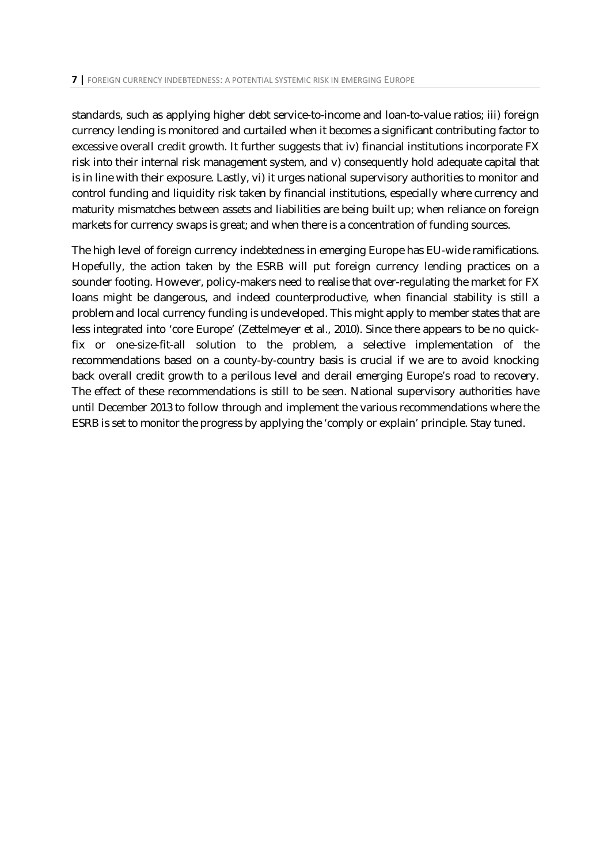standards, such as applying higher debt service-to-income and loan-to-value ratios; iii) foreign currency lending is monitored and curtailed when it becomes a significant contributing factor to excessive overall credit growth. It further suggests that iv) financial institutions incorporate FX risk into their internal risk management system, and v) consequently hold adequate capital that is in line with their exposure. Lastly, vi) it urges national supervisory authorities to monitor and control funding and liquidity risk taken by financial institutions, especially where currency and maturity mismatches between assets and liabilities are being built up; when reliance on foreign markets for currency swaps is great; and when there is a concentration of funding sources.

The high level of foreign currency indebtedness in emerging Europe has EU-wide ramifications. Hopefully, the action taken by the ESRB will put foreign currency lending practices on a sounder footing. However, policy-makers need to realise that over-regulating the market for FX loans might be dangerous, and indeed counterproductive, when financial stability is still a problem and local currency funding is undeveloped. This might apply to member states that are less integrated into 'core Europe' (Zettelmeyer et al., 2010). Since there appears to be no quickfix or one-size-fit-all solution to the problem, a selective implementation of the recommendations based on a county-by-country basis is crucial if we are to avoid knocking back overall credit growth to a perilous level and derail emerging Europe's road to recovery. The effect of these recommendations is still to be seen. National supervisory authorities have until December 2013 to follow through and implement the various recommendations where the ESRB is set to monitor the progress by applying the 'comply or explain' principle. Stay tuned.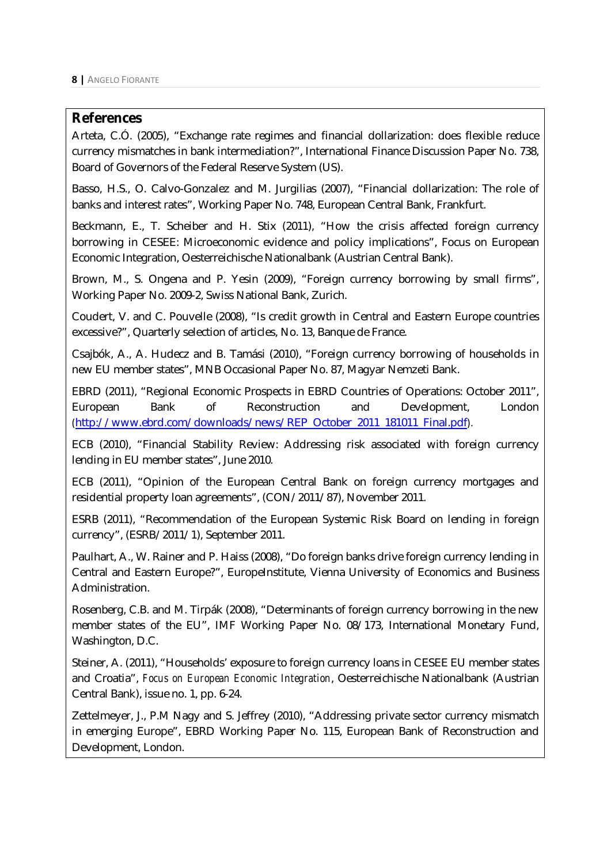### **References**

Arteta, C.Ó. (2005), "Exchange rate regimes and financial dollarization: does flexible reduce currency mismatches in bank intermediation?", International Finance Discussion Paper No. 738, Board of Governors of the Federal Reserve System (US).

Basso, H.S., O. Calvo-Gonzalez and M. Jurgilias (2007), "Financial dollarization: The role of banks and interest rates", Working Paper No. 748, European Central Bank, Frankfurt.

Beckmann, E., T. Scheiber and H. Stix (2011), "How the crisis affected foreign currency borrowing in CESEE: Microeconomic evidence and policy implications", Focus on European Economic Integration, Oesterreichische Nationalbank (Austrian Central Bank).

Brown, M., S. Ongena and P. Yesin (2009), "Foreign currency borrowing by small firms", Working Paper No. 2009-2, Swiss National Bank, Zurich.

Coudert, V. and C. Pouvelle (2008), "Is credit growth in Central and Eastern Europe countries excessive?", Quarterly selection of articles, No. 13, Banque de France.

Csajbók, A., A. Hudecz and B. Tamási (2010), "Foreign currency borrowing of households in new EU member states", MNB Occasional Paper No. 87, Magyar Nemzeti Bank.

EBRD (2011), "Regional Economic Prospects in EBRD Countries of Operations: October 2011", European Bank of Reconstruction and Development, London (http://www.ebrd.com/downloads/news/REP\_October\_2011\_181011\_Final.pdf).

ECB (2010), "Financial Stability Review: Addressing risk associated with foreign currency lending in EU member states", June 2010.

ECB (2011), "Opinion of the European Central Bank on foreign currency mortgages and residential property loan agreements", (CON/2011/87), November 2011.

ESRB (2011), "Recommendation of the European Systemic Risk Board on lending in foreign currency", (ESRB/2011/1), September 2011.

Paulhart, A., W. Rainer and P. Haiss (2008), "Do foreign banks drive foreign currency lending in Central and Eastern Europe?", EuropeInstitute, Vienna University of Economics and Business Administration.

Rosenberg, C.B. and M. Tirpák (2008), "Determinants of foreign currency borrowing in the new member states of the EU", IMF Working Paper No. 08/173, International Monetary Fund, Washington, D.C.

Steiner, A. (2011), "Households' exposure to foreign currency loans in CESEE EU member states and Croatia", *Focus on European Economic Integration*, Oesterreichische Nationalbank (Austrian Central Bank), issue no. 1, pp. 6-24.

Zettelmeyer, J., P.M Nagy and S. Jeffrey (2010), "Addressing private sector currency mismatch in emerging Europe", EBRD Working Paper No. 115, European Bank of Reconstruction and Development, London.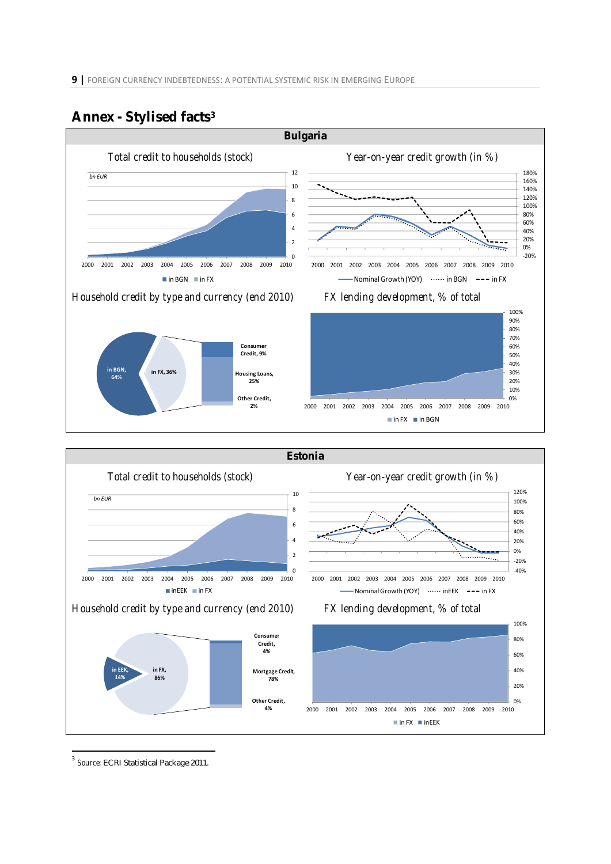

### **Annex - Stylised facts3**



 <sup>3</sup> *Source:* ECRI Statistical Package 2011.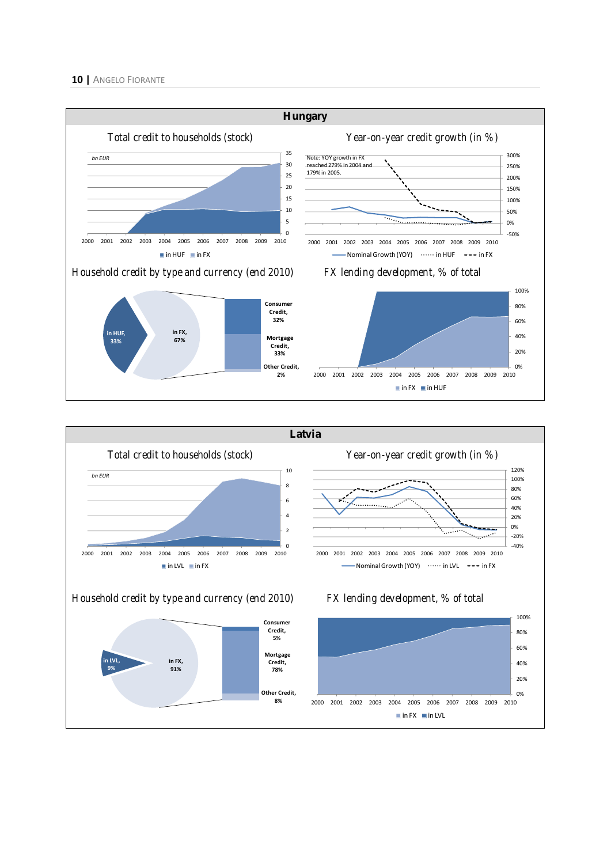#### **10 |** ANGELO FIORANTE



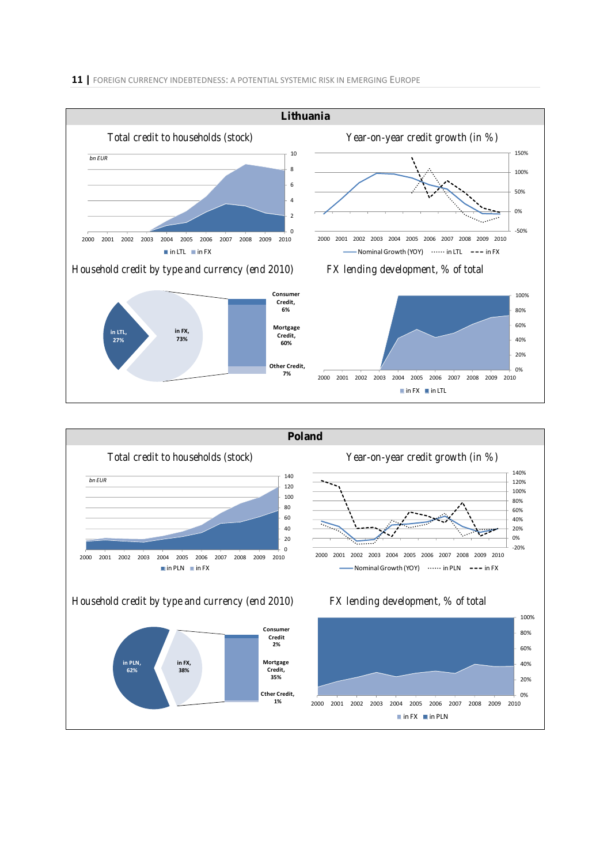



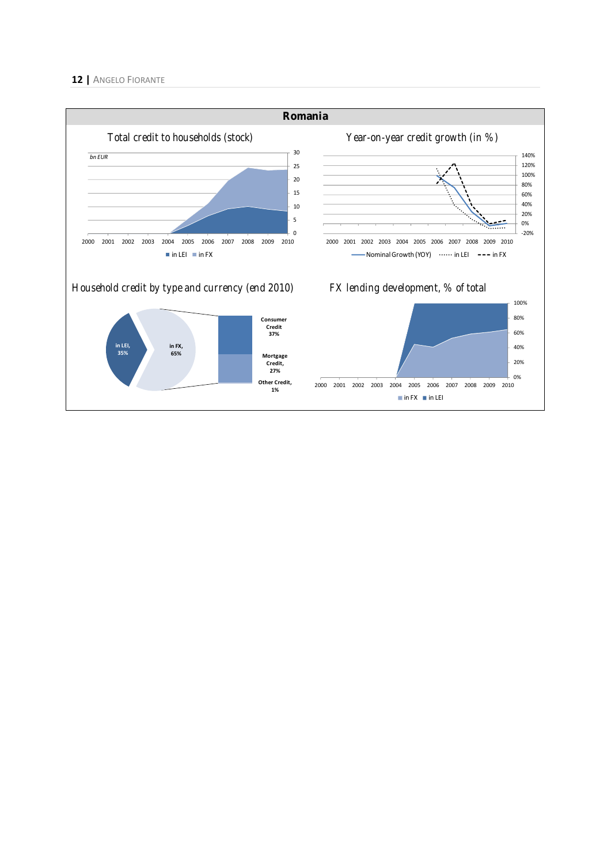#### **12 |** ANGELO FIORANTE